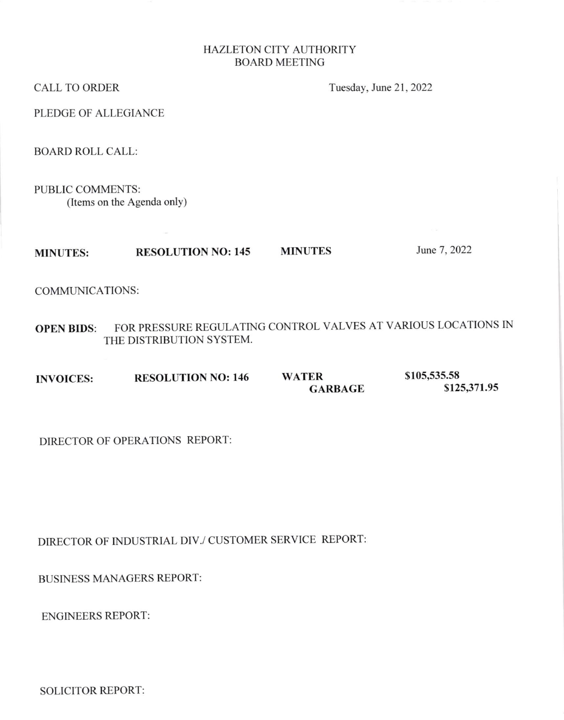## HAZLETON CITY AUTHORITY BOARD MEETING

CALL TO ORDER Tuesday, June 21, 2022

PLEDGE OF ALLEGIANCE

BOARD ROLL CALL:

PUBLIC COMMENTS: (ltems on the Agenda only)

## MINUTES: RESOLUTION NO: 145 MINUTES June 7, 2022

COMMUNICATIONS:

OPEN BIDS: FOR PRESSURE REGULATING CONTROL VALVES AT VARIOUS LOCATIONS IN THE DISTRIBUTION SYSTEM.

INVOICES: RESOLUTION NO: <sup>146</sup> WATER GARBAGE \$105,535.58 \$125,371.95

DIRECTOR OF OPERATIONS REPORT:

DIRECTOR OF INDUSTRIAL DIV./ CUSTOMER SERVICE REPORT:

BUSINESS MANAGERS REPORT:

ENGINEERS REPORT:

SOLICITOR REPORT: